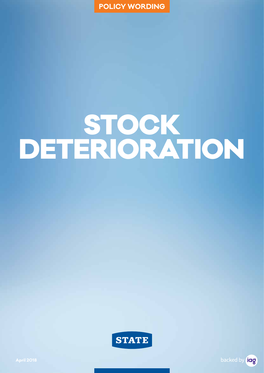

# STOCK DETERIORATION



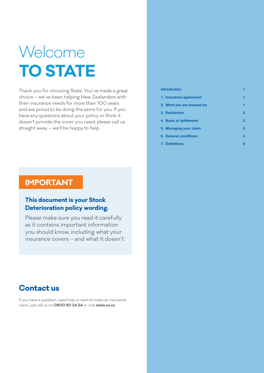# Welcome **TO STATE**

Thank you for choosing State. You've made a great choice – we've been helping New Zealanders with their insurance needs for more than 100 years and are proud to be doing the same for you. If you have any questions about your policy or think it doesn't provide the cover you need, please call us straight away – we'll be happy to help.

## **IMPORTANT**

## **This document is your Stock Deterioration policy wording.**

Please make sure you read it carefully as it contains important information you should know, including what your insurance covers – and what it doesn't.

## **Contact us**

If you have a question, need help or want to make an insurance claim, just call us on **0800 80 24 24** or visit **state.co.nz**.

## **Introduction 1 1. Insurance agreement 1 2. What you are insured for 1 3. Exclusions 2 4. Basis of settlement 3 5. Managing your claim 3 6. General conditions 4**

**7. Definitions 6**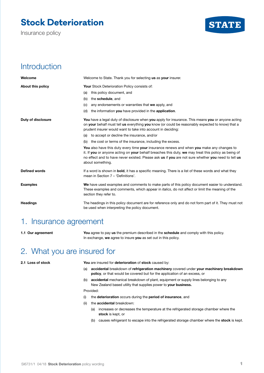# **Stock Deterioration**

Insurance policy



## Introduction

| Welcome              | Welcome to State. Thank you for selecting us as your insurer.                                                                                                                                                                                                                                                              |
|----------------------|----------------------------------------------------------------------------------------------------------------------------------------------------------------------------------------------------------------------------------------------------------------------------------------------------------------------------|
| About this policy    | <b>Your Stock Deterioration Policy consists of:</b>                                                                                                                                                                                                                                                                        |
|                      | this policy document, and<br>(a)                                                                                                                                                                                                                                                                                           |
|                      | the schedule, and<br>(b)                                                                                                                                                                                                                                                                                                   |
|                      | any endorsements or warranties that we apply, and<br>(C)                                                                                                                                                                                                                                                                   |
|                      | the information you have provided in the application.<br>(d)                                                                                                                                                                                                                                                               |
| Duty of disclosure   | You have a legal duty of disclosure when you apply for insurance. This means you or anyone acting<br>on your behalf must tell us everything you know (or could be reasonably expected to know) that a<br>prudent insurer would want to take into account in deciding:                                                      |
|                      | (a) to accept or decline the insurance, and/or                                                                                                                                                                                                                                                                             |
|                      | (b) the cost or terms of the insurance, including the excess.                                                                                                                                                                                                                                                              |
|                      | You also have this duty every time your insurance renews and when you make any changes to<br>it. If you or anyone acting on your behalf breaches this duty, we may treat this policy as being of<br>no effect and to have never existed. Please ask us if you are not sure whether you need to tell us<br>about something. |
| <b>Defined words</b> | If a word is shown in <b>bold</b> , it has a specific meaning. There is a list of these words and what they<br>mean in Section 7 - 'Definitions'.                                                                                                                                                                          |
| <b>Examples</b>      | We have used examples and comments to make parts of this policy document easier to understand.<br>These examples and comments, which appear in <i>italics</i> , do not affect or limit the meaning of the<br>section they refer to.                                                                                        |
| <b>Headings</b>      | The headings in this policy document are for reference only and do not form part of it. They must not<br>be used when interpreting the policy document.                                                                                                                                                                    |

## 1. Insurance agreement

**1.1 Our agreement You** agree to pay **us** the premium described in the **schedule** and comply with this policy. In exchange, **we** agree to insure **you** as set out in this policy.

## 2. What you are insured for

**2.1 Loss of stock You** are insured for **deterioration** of **stock** caused by:

- (a) **accidental** breakdown of **refrigeration machinery** covered under **your machinery breakdown policy**, or that would be covered but for the application of an excess, or
- (b) **accidental** mechanical breakdown of plant, equipment or supply lines belonging to any New Zealand based utility that supplies power to **your business.**

Provided:

- (i) the **deterioration** occurs during the **period of insurance**, and
- (ii) the **accidental** breakdown:
	- (a) increases or decreases the temperature at the refrigerated storage chamber where the **stock** is kept, or
	- (b) causes refrigerant to escape into the refrigerated storage chamber where the **stock** is kept.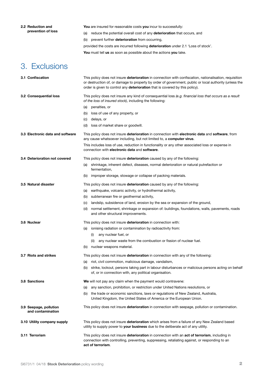| 2.2 Reduction and  |  |
|--------------------|--|
| prevention of loss |  |

**You** are insured for reasonable costs **you** incur to successfully:

(a) reduce the potential overall cost of any **deterioration** that occurs, and

(b) prevent further **deterioration** from occurring,

provided the costs are incurred following **deterioration** under 2.1 'Loss of stock'.

**You** must tell **us** as soon as possible about the actions **you** take.

## 3. Exclusions

| 3.1 Confiscation                            | This policy does not insure <b>deterioration</b> in connection with confiscation, nationalisation, requisition<br>or destruction of, or damage to property by order of government, public or local authority (unless the<br>order is given to control any deterioration that is covered by this policy). |
|---------------------------------------------|----------------------------------------------------------------------------------------------------------------------------------------------------------------------------------------------------------------------------------------------------------------------------------------------------------|
| 3.2 Consequential loss                      | This policy does not insure any kind of consequential loss (e.g. financial loss that occurs as a result<br>of the loss of insured stock), including the following:                                                                                                                                       |
|                                             | penalties, or<br>(a)                                                                                                                                                                                                                                                                                     |
|                                             | (b) loss of use of any property, or                                                                                                                                                                                                                                                                      |
|                                             | delays, or<br>(C)                                                                                                                                                                                                                                                                                        |
|                                             | loss of market share or goodwill.<br>(d)                                                                                                                                                                                                                                                                 |
| 3.3 Electronic data and software            | This policy does not insure deterioration in connection with electronic data and software, from<br>any cause whatsoever including, but not limited to, a computer virus.                                                                                                                                 |
|                                             | This includes loss of use, reduction in functionality or any other associated loss or expense in<br>connection with electronic data and software.                                                                                                                                                        |
| 3.4 Deterioration not covered               | This policy does not insure <b>deterioration</b> caused by any of the following:                                                                                                                                                                                                                         |
|                                             | shrinkage, inherent defect, diseases, normal deterioration or natural putrefaction or<br>(a)<br>fermentation,                                                                                                                                                                                            |
|                                             | improper storage, stowage or collapse of packing materials.<br>(b)                                                                                                                                                                                                                                       |
| 3.5 Natural disaster                        | This policy does not insure deterioration caused by any of the following:                                                                                                                                                                                                                                |
|                                             | earthquake, volcanic activity, or hydrothermal activity,<br>(a)                                                                                                                                                                                                                                          |
|                                             | subterranean fire or geothermal activity,<br>(b)                                                                                                                                                                                                                                                         |
|                                             | landslip, subsidence of land, erosion by the sea or expansion of the ground,<br>(C)                                                                                                                                                                                                                      |
|                                             | normal settlement, shrinkage or expansion of: buildings, foundations, walls, pavements, roads<br>(d)<br>and other structural improvements.                                                                                                                                                               |
| 3.6 Nuclear                                 | This policy does not insure deterioration in connection with:                                                                                                                                                                                                                                            |
|                                             | ionising radiation or contamination by radioactivity from:<br>(a)                                                                                                                                                                                                                                        |
|                                             | any nuclear fuel, or<br>(i)                                                                                                                                                                                                                                                                              |
|                                             | any nuclear waste from the combustion or fission of nuclear fuel.<br>(ii)                                                                                                                                                                                                                                |
|                                             | nuclear weapons material.<br>(b)                                                                                                                                                                                                                                                                         |
| 3.7 Riots and strikes                       | This policy does not insure <b>deterioration</b> in connection with any of the following:                                                                                                                                                                                                                |
|                                             | riot, civil commotion, malicious damage, vandalism,<br>(a)                                                                                                                                                                                                                                               |
|                                             | strike, lockout, persons taking part in labour disturbances or malicious persons acting on behalf<br>(b)<br>of, or in connection with, any political organisation.                                                                                                                                       |
| 3.8 Sanctions                               | We will not pay any claim when the payment would contravene:                                                                                                                                                                                                                                             |
|                                             | any sanction, prohibition, or restriction under United Nations resolutions, or<br>(a)                                                                                                                                                                                                                    |
|                                             | (b) the trade or economic sanctions, laws or regulations of New Zealand, Australia,<br>United Kingdom, the United States of America or the European Union.                                                                                                                                               |
| 3.9 Seepage, pollution<br>and contamination | This policy does not insure deterioration in connection with seepage, pollution or contamination.                                                                                                                                                                                                        |
| 3.10 Utility company supply                 | This policy does not insure <b>deterioration</b> which arises from a failure of any New Zealand based<br>utility to supply power to your business due to the deliberate act of any utility.                                                                                                              |
| 3.11 Terrorism                              | This policy does not insure deterioration in connection with an act of terrorism, including in<br>connection with controlling, preventing, suppressing, retaliating against, or responding to an<br>act of terrorism.                                                                                    |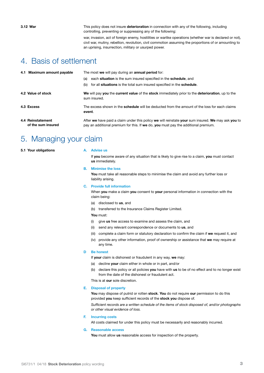**3.12 War** This policy does not insure **deterioration** in connection with any of the following, including controlling, preventing or suppressing any of the following:

> war, invasion, act of foreign enemy, hostilities or warlike operations (whether war is declared or not), civil war, mutiny, rebellion, revolution, civil commotion assuming the proportions of or amounting to an uprising, insurrection, military or usurped power.

## 4. Basis of settlement

|  | 4.1 Maximum amount payable              | The most we will pay during an annual period for:                                                                                                                                        |
|--|-----------------------------------------|------------------------------------------------------------------------------------------------------------------------------------------------------------------------------------------|
|  |                                         | each situation is the sum insured specified in the schedule, and<br>(a)                                                                                                                  |
|  |                                         | for all situations is the total sum insured specified in the schedule.<br>(b)                                                                                                            |
|  | 4.2 Value of stock                      | We will pay you the current value of the stock immediately prior to the deterioration, up to the<br>sum insured.                                                                         |
|  | 4.3 Excess                              | The excess shown in the <b>schedule</b> will be deducted from the amount of the loss for each claims<br>event.                                                                           |
|  | 4.4 Reinstatement<br>of the sum insured | After we have paid a claim under this policy we will reinstate your sum insured. We may ask you to<br>pay an additional premium for this. If we do, you must pay the additional premium. |

## 5. Managing your claim

**5.1 Your obligations A. Advise us**

If **you** become aware of any situation that is likely to give rise to a claim, **you** must contact **us** immediately.

#### **B. Minimise the loss**

**You** must take all reasonable steps to minimise the claim and avoid any further loss or liability arising.

#### **C. Provide full information**

When **you** make a claim **you** consent to **your** personal information in connection with the claim being:

- (a) disclosed to **us**, and
- (b) transferred to the Insurance Claims Register Limited.

**You** must:

- (i) give **us** free access to examine and assess the claim, and
- (ii) send any relevant correspondence or documents to **us**, and
- (iii) complete a claim form or statutory declaration to confirm the claim if **we** request it, and
- (iv) provide any other information, proof of ownership or assistance that **we** may require at any time.

### **D Be honest**

If **your** claim is dishonest or fraudulent in any way, **we** may:

- (a) decline **your** claim either in whole or in part, and/or
- (b) declare this policy or all policies **you** have with **us** to be of no effect and to no longer exist from the date of the dishonest or fraudulent act.

This is at **our** sole discretion.

#### **E. Disposal of property**

**You** may dispose of putrid or rotten **stock**. **You** do not require **our** permission to do this provided **you** keep sufficient records of the **stock you** dispose of.

*Sufficient records are a written schedule of the items of stock disposed of, and/or photographs or other visual evidence of loss.*

**F. Incurring costs**

All costs claimed for under this policy must be necessarily and reasonably incurred.

#### **G. Reasonable access**

**You** must allow **us** reasonable access for inspection of the property.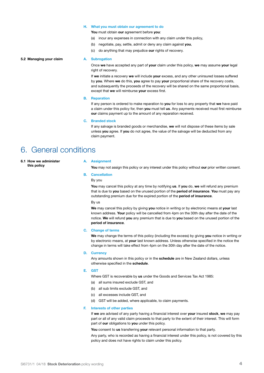#### **H. What you must obtain our agreement to do**

**You** must obtain **our** agreement before **you**:

- (a) incur any expenses in connection with any claim under this policy,
- (b) negotiate, pay, settle, admit or deny any claim against **you**,
- (c) do anything that may prejudice **our** rights of recovery.

#### **5.2 Managing your claim A. Subrogation**

Once **we** have accepted any part of **your** claim under this policy, **we** may assume **your** legal right of recovery.

If **we** initiate a recovery **we** will include **your** excess, and any other uninsured losses suffered by **you**. Where **we** do this, **you** agree to pay **your** proportional share of the recovery costs, and subsequently the proceeds of the recovery will be shared on the same proportional basis, except that **we** will reimburse **your** excess first.

#### **B. Reparation**

If any person is ordered to make reparation to **you** for loss to any property that **we** have paid a claim under this policy for, then **you** must tell **us**. Any payments received must first reimburse **our** claims payment up to the amount of any reparation received.

#### **C. Branded stock**

If any salvage is branded goods or merchandise, **we** will not dispose of these items by sale unless **you** agree. If **you** do not agree, the value of the salvage will be deducted from any claim payment.

## 6. General conditions

**6.1 How we administer this policy**

#### **A. Assignment**

**You** may not assign this policy or any interest under this policy without **our** prior written consent.

#### **B. Cancellation**

By you

**You** may cancel this policy at any time by notifying **us**. If **you** do, **we** will refund any premium that is due to **you** based on the unused portion of the **period of insurance**. **You** must pay any outstanding premium due for the expired portion of the **period of insurance**.

By us

**We** may cancel this policy by giving **you** notice in writing or by electronic means at **your** last known address. **Your** policy will be cancelled from 4pm on the 30th day after the date of the notice. **We** will refund **you** any premium that is due to **you** based on the unused portion of the **period of insurance**.

#### **C. Change of terms**

**We** may change the terms of this policy (including the excess) by giving **you** notice in writing or by electronic means, at **your** last known address. Unless otherwise specified in the notice the change in terms will take effect from 4pm on the 30th day after the date of the notice.

#### **D. Currency**

Any amounts shown in this policy or in the **schedule** are in New Zealand dollars, unless otherwise specified in the **schedule**.

#### **E. GST**

Where GST is recoverable by **us** under the Goods and Services Tax Act 1985:

- (a) all sums insured exclude GST, and
- (b) all sub limits exclude GST, and
- (c) all excesses include GST, and
- (d) GST will be added, where applicable, to claim payments.

#### **F. Interests of other parties**

If **we** are advised of any party having a financial interest over **your** insured **stock**, **we** may pay part or all of any valid claim proceeds to that party to the extent of their interest. This will form part of **our** obligations to **you** under this policy.

**You** consent to **us** transferring **your** relevant personal information to that party.

Any party, who is recorded as having a financial interest under this policy, is not covered by this policy and does not have rights to claim under this policy.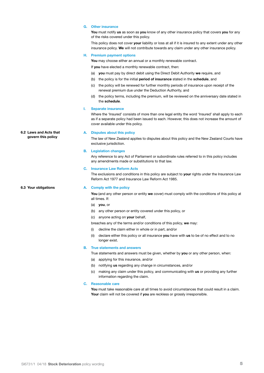### **G. Other insurance**

**You** must notify **us** as soon as **you** know of any other insurance policy that covers **you** for any of the risks covered under this policy.

This policy does not cover **your** liability or loss at all if it is insured to any extent under any other insurance policy. **We** will not contribute towards any claim under any other insurance policy.

#### **H. Premium payment options**

**You** may choose either an annual or a monthly renewable contract.

If **you** have elected a monthly renewable contract, then:

- (a) **you** must pay by direct debit using the Direct Debit Authority **we** require, and
- (b) the policy is for the initial **period of insurance** stated in the **schedule**, and
- (c) the policy will be renewed for further monthly periods of insurance upon receipt of the renewal premium due under the Deduction Authority, and
- (d) the policy terms, including the premium, will be reviewed on the anniversary date stated in the **schedule**.

#### **I. Separate insurance**

Where the 'Insured' consists of more than one legal entity the word 'Insured' shall apply to each as if a separate policy had been issued to each. However, this does not increase the amount of cover available under this policy.

#### **A. Disputes about this policy**

The law of New Zealand applies to disputes about this policy and the New Zealand Courts have exclusive jurisdiction.

#### **B. Legislation changes**

Any reference to any Act of Parliament or subordinate rules referred to in this policy includes any amendments made or substitutions to that law.

#### **C. Insurance Law Reform Acts**

The exclusions and conditions in this policy are subject to **your** rights under the Insurance Law Reform Act 1977 and Insurance Law Reform Act 1985.

#### **6.3 Your obligations A. Comply with the policy**

**You** (and any other person or entity **we** cover) must comply with the conditions of this policy at all times. If:

- (a) **you**, or
- (b) any other person or entity covered under this policy, or
- (c) anyone acting on **your** behalf,

breaches any of the terms and/or conditions of this policy, **we** may:

- (i) decline the claim either in whole or in part, and/or
- (ii) declare either this policy or all insurance **you** have with **us** to be of no effect and to no longer exist.

#### **B. True statements and answers**

True statements and answers must be given, whether by **you** or any other person, when:

- (a) applying for this insurance, and/or
- (b) notifying **us** regarding any change in circumstances, and/or
- (c) making any claim under this policy, and communicating with **us** or providing any further information regarding the claim.

#### **C. Reasonable care**

**You** must take reasonable care at all times to avoid circumstances that could result in a claim. **Your** claim will not be covered if **you** are reckless or grossly irresponsible.

**6.2 Laws and Acts that govern this policy**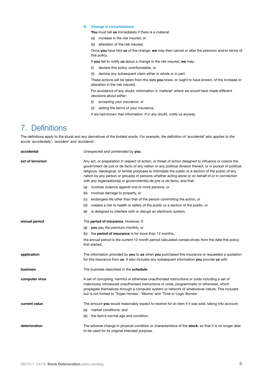## **D. Change in circumstances**

**You** must tell **us** immediately if there is a material:

- (a) increase in the risk insured, or
- (b) alteration of the risk insured.

Once **you** have told **us** of the change, **we** may then cancel or alter the premium and/or terms of this policy.

If **you** fail to notify **us** about a change in the risk insured, **we** may:

- (i) declare this policy unenforceable, or
- (ii) decline any subsequent claim either in whole or in part.

These actions will be taken from the date **you** knew, or ought to have known, of the increase or alteration in the risk insured.

*For avoidance of any doubt, information is 'material' where we would have made different decisions about either:*

- *(i) accepting your insurance, or*
- *(ii) setting the terms of your insurance,*

*if we had known that information. If in any doubt, notify us anyway.*

## 7. Definitions

The definitions apply to the plural and any derivatives of the bolded words*. For example, the definition of 'accidental' also applies to the words 'accidentally', 'accident' and 'accidents'.*

| accidental       | Unexpected and unintended by you.                                                                                                                                                                                                                                                                                                                                                                                                                                                                               |
|------------------|-----------------------------------------------------------------------------------------------------------------------------------------------------------------------------------------------------------------------------------------------------------------------------------------------------------------------------------------------------------------------------------------------------------------------------------------------------------------------------------------------------------------|
| act of terrorism | Any act, or preparation in respect of action, or threat of action designed to influence or coerce the<br>government de jure or de facto of any nation or any political division thereof, or in pursuit of political,<br>religious, ideological, or similar purposes to intimidate the public or a section of the public of any<br>nation by any person or group(s) of persons whether acting alone or on behalf of or in connection<br>with any organisation(s) or government(s) de jure or de facto, and that: |
|                  | (a) involves violence against one or more persons, or                                                                                                                                                                                                                                                                                                                                                                                                                                                           |
|                  | (b) involves damage to property, or                                                                                                                                                                                                                                                                                                                                                                                                                                                                             |
|                  | endangers life other than that of the person committing the action, or<br>(C)                                                                                                                                                                                                                                                                                                                                                                                                                                   |
|                  | creates a risk to health or safety of the public or a section of the public, or<br>(d)                                                                                                                                                                                                                                                                                                                                                                                                                          |
|                  | is designed to interfere with or disrupt an electronic system.<br>(e)                                                                                                                                                                                                                                                                                                                                                                                                                                           |
| annual period    | The period of insurance. However, if:                                                                                                                                                                                                                                                                                                                                                                                                                                                                           |
|                  | (a) you pay the premium monthly, or                                                                                                                                                                                                                                                                                                                                                                                                                                                                             |
|                  | (b) the <b>period of insurance</b> is for more than 12 months,                                                                                                                                                                                                                                                                                                                                                                                                                                                  |
|                  | the annual period is the current 12 month period calculated consecutively from the date this policy<br>first started.                                                                                                                                                                                                                                                                                                                                                                                           |
| application      | The information provided by you to us when you purchased this insurance or requested a quotation<br>for this insurance from us. It also includes any subsequent information you provide us with.                                                                                                                                                                                                                                                                                                                |
| business         | The business described in the schedule.                                                                                                                                                                                                                                                                                                                                                                                                                                                                         |
| computer virus   | A set of corrupting, harmful or otherwise unauthorised instructions or code including a set of<br>maliciously introduced unauthorised instructions or code, programmatic or otherwise, which<br>propagate themselves through a computer system or network of whatsoever nature. This includes<br>but is not limited to 'Trojan Horses', 'Worms' and 'Time or Logic Bombs'.                                                                                                                                      |
| current value    | The amount you would reasonably expect to receive for an item if it was sold, taking into account:                                                                                                                                                                                                                                                                                                                                                                                                              |
|                  | (a) market conditions, and                                                                                                                                                                                                                                                                                                                                                                                                                                                                                      |
|                  | the item's normal age and condition.<br>(b)                                                                                                                                                                                                                                                                                                                                                                                                                                                                     |
| deterioration    | The adverse change in physical condition or characteristics of the <b>stock</b> , so that it is no longer able<br>to be used for its original intended purpose.                                                                                                                                                                                                                                                                                                                                                 |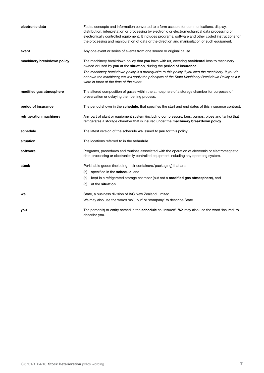| electronic data            | Facts, concepts and information converted to a form useable for communications, display,<br>distribution, interpretation or processing by electronic or electromechanical data processing or<br>electronically controlled equipment. It includes programs, software and other coded instructions for<br>the processing and manipulation of data or the direction and manipulation of such equipment. |
|----------------------------|------------------------------------------------------------------------------------------------------------------------------------------------------------------------------------------------------------------------------------------------------------------------------------------------------------------------------------------------------------------------------------------------------|
| event                      | Any one event or series of events from one source or original cause.                                                                                                                                                                                                                                                                                                                                 |
| machinery breakdown policy | The machinery breakdown policy that you have with us, covering accidental loss to machinery<br>owned or used by you at the situation, during the period of insurance.                                                                                                                                                                                                                                |
|                            | The machinery breakdown policy is a prerequisite to this policy if you own the machinery. If you do<br>not own the machinery, we will apply the principles of the State Machinery Breakdown Policy as if it<br>were in force at the time of the event.                                                                                                                                               |
| modified gas atmosphere    | The altered composition of gases within the atmosphere of a storage chamber for purposes of<br>preservation or delaying the ripening process.                                                                                                                                                                                                                                                        |
| period of insurance        | The period shown in the <b>schedule</b> , that specifies the start and end dates of this insurance contract.                                                                                                                                                                                                                                                                                         |
| refrigeration machinery    | Any part of plant or equipment system (including compressors, fans, pumps, pipes and tanks) that<br>refrigerates a storage chamber that is insured under the machinery breakdown policy.                                                                                                                                                                                                             |
| schedule                   | The latest version of the schedule we issued to you for this policy.                                                                                                                                                                                                                                                                                                                                 |
| situation                  | The locations referred to in the schedule.                                                                                                                                                                                                                                                                                                                                                           |
| software                   | Programs, procedures and routines associated with the operation of electronic or electromagnetic<br>data processing or electronically controlled equipment including any operating system.                                                                                                                                                                                                           |
| stock                      | Perishable goods (including their containers/packaging) that are:                                                                                                                                                                                                                                                                                                                                    |
|                            | specified in the schedule, and<br>(a)                                                                                                                                                                                                                                                                                                                                                                |
|                            | kept in a refrigerated storage chamber (but not a <b>modified gas atmosphere</b> ), and<br>(b)                                                                                                                                                                                                                                                                                                       |
|                            | at the situation.<br>(C)                                                                                                                                                                                                                                                                                                                                                                             |
| we                         | State, a business division of IAG New Zealand Limited.                                                                                                                                                                                                                                                                                                                                               |
|                            | We may also use the words 'us', 'our' or 'company' to describe State.                                                                                                                                                                                                                                                                                                                                |
| you                        | The person(s) or entity named in the <b>schedule</b> as 'Insured'. We may also use the word 'insured' to<br>describe you.                                                                                                                                                                                                                                                                            |